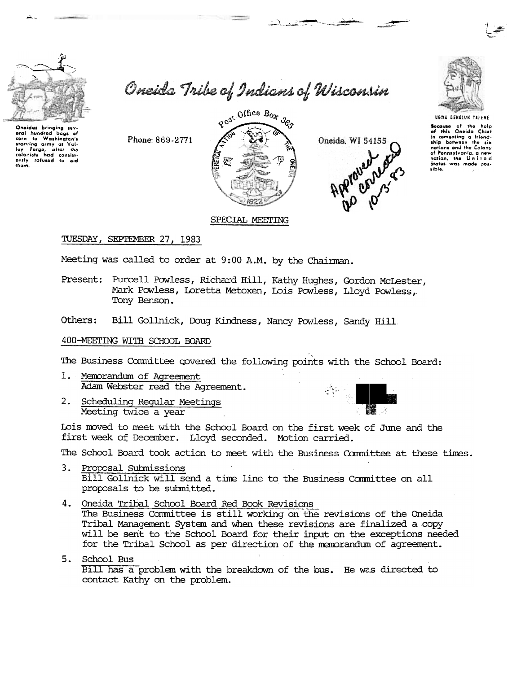

to Washingto

carn to Washington's<br>starving army at Yail-<br>ley Forge, after the<br>colonists had consist-<br>ently refused to aid

bogs of

oral hundrod

corn

them.

Oneida Tribe of Indians of Wisconsin



صحب مستدار





UGWA BENOLUN YATENE

Secause of the help<br>of this Oneido Chief<br>in comenting a friendship between the six nations and the Colony nations and the Colony<br>of Pennsylvania, a new<br>nation, the United<br>States was made possible.

TUESDAY, SEPTEMBER 27, 1983

Phone: 869-2771

Meeting was called to order at 9:00 A.M. by the Chairman.

Present: Purcell Powless, Richard Hill, Kathy Hughes, Gordon McLester, Mark Powless, Loretta Metoxen, Lois Powless, Lloyd Powless, Tony Benson.

Bill Gollnick, Doug Kindness, Nancy Powless, Sandy Hill Others:

### 400-MEETING WITH SCHOOL BOARD

The Business Committee covered the following points with the School Board:

- Memorandum of Agreement  $1.$ Adam Webster read the Agreement.
- $2.$ Scheduling Regular Meetings Meeting twice a year



Lois moved to meet with the School Board on the first week of June and the first week of December. Lloyd seconded. Motion carried.

The School Board took action to meet with the Business Committee at these times.

- 3. Proposal Submissions Bill Gollnick will send a time line to the Business Committee on all proposals to be submitted.
- 4. Oneida Tribal School Board Red Book Revisions The Business Committee is still working on the revisions of the Oneida Tribal Management System and when these revisions are finalized a copy will be sent to the School Board for their input on the exceptions needed for the Tribal School as per direction of the memorandum of agreement.
- 5. School Bus Bill has a problem with the breakdown of the bus. He was directed to contact Kathy on the problem.